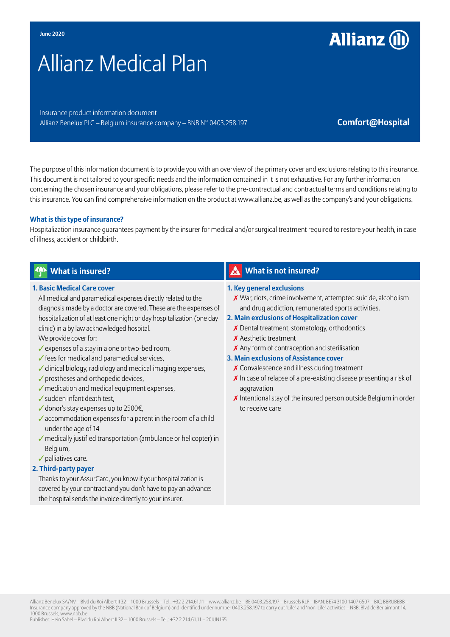# Allianz Medical Plan

Insurance product information document Allianz Benelux PLC – Belgium insurance company – BNB N° 0403.258.197 **Comfort@Hospital** 

**Allianz (I)** 

The purpose of this information document is to provide you with an overview of the primary cover and exclusions relating to this insurance. This document is not tailored to your specific needs and the information contained in it is not exhaustive. For any further information concerning the chosen insurance and your obligations, please refer to the pre-contractual and contractual terms and conditions relating to this insurance. You can find comprehensive information on the product at www.allianz.be, as well as the company's and your obligations.

#### **What is this type of insurance?**

Hospitalization insurance guarantees payment by the insurer for medical and/or surgical treatment required to restore your health, in case of illness, accident or childbirth.

#### **1. Basic Medical Care cover**

All medical and paramedical expenses directly related to the diagnosis made by a doctor are covered. These are the expenses of hospitalization of at least one night or day hospitalization (one day clinic) in a by law acknowledged hospital.

We provide cover for:

- ✓expenses of a stay in a one or two-bed room,
- ✓fees for medical and paramedical services,
- ✓clinical biology, radiology and medical imaging expenses,
- ✓prostheses and orthopedic devices,
- $\sqrt{\ }$  medication and medical equipment expenses.
- ✓sudden infant death test,
- ✓donor's stay expenses up to 2500€,
- $\checkmark$  accommodation expenses for a parent in the room of a child under the age of 14
- ✓medically justified transportation (ambulance or helicopter) in Belgium,
- ✓palliatives care.
- **2. Third-party payer**

Thanks to your AssurCard, you know if your hospitalization is covered by your contract and you don't have to pay an advance: the hospital sends the invoice directly to your insurer.

## *What is insured?* **What is insured?** What is not insured?

#### **1. Key general exclusions**

✗ War, riots, crime involvement, attempted suicide, alcoholism and drug addiction, remunerated sports activities.

#### **2. Main exclusions of Hospitalization cover**

- ✗ Dental treatment, stomatology, orthodontics
- ✗ Aesthetic treatment
- ✗ Any form of contraception and sterilisation

#### **3. Main exclusions of Assistance cover**

- ✗ Convalescence and illness during treatment
- ✗ In case of relapse of a pre-existing disease presenting a risk of aggravation
- ✗ Intentional stay of the insured person outside Belgium in order to receive care

Allianz Benelux SA/NV – Blvd du Roi Albert II 32 – 1000 Brussels – Tel.: +32 2 214.61.11 – www.allianz.be – BE 0403.258.197 – Brussels RLP – IBAN: BE74 3100 1407 6507 – BIC: BBRUBEBB – Insurance company approved by the NBB (National Bank of Belgium) and identified under number 0403.258.197 to carry out "Life" and "non-Life" activities – NBB: Blvd de Berlaimont 14, 1000 Brussels, www.nbb.be